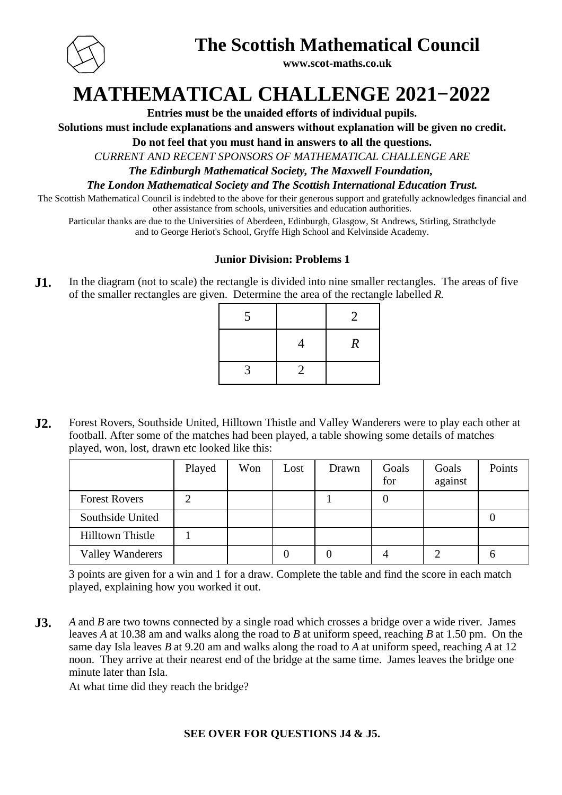

## **The Scottish Mathematical Council**

**www.scot-maths.co.uk**

## **MATHEMATICAL CHALLENGE 2021−2022**

**Entries must be the unaided efforts of individual pupils.**

**Solutions must include explanations and answers without explanation will be given no credit.**

**Do not feel that you must hand in answers to all the questions.**

*CURRENT AND RECENT SPONSORS OF MATHEMATICAL CHALLENGE ARE*

*The Edinburgh Mathematical Society, The Maxwell Foundation,* 

*The London Mathematical Society and The Scottish International Education Trust.*

The Scottish Mathematical Council is indebted to the above for their generous support and gratefully acknowledges financial and other assistance from schools, universities and education authorities.

Particular thanks are due to the Universities of Aberdeen, Edinburgh, Glasgow, St Andrews, Stirling, Strathclyde and to George Heriot's School, Gryffe High School and Kelvinside Academy.

#### **Junior Division: Problems 1**

**J1.** In the diagram (not to scale) the rectangle is divided into nine smaller rectangles. The areas of five of the smaller rectangles are given. Determine the area of the rectangle labelled *R*.

| 5 |                | 2                |
|---|----------------|------------------|
|   |                | $\boldsymbol{R}$ |
| 3 | $\overline{2}$ |                  |

**J2.** Forest Rovers, Southside United, Hilltown Thistle and Valley Wanderers were to play each other at football. After some of the matches had been played, a table showing some details of matches played, won, lost, drawn etc looked like this:

|                         | Played | Won | Lost | Drawn | Goals<br>for | Goals<br>against | Points |
|-------------------------|--------|-----|------|-------|--------------|------------------|--------|
| <b>Forest Rovers</b>    |        |     |      |       | 0            |                  |        |
| Southside United        |        |     |      |       |              |                  |        |
| <b>Hilltown Thistle</b> |        |     |      |       |              |                  |        |
| <b>Valley Wanderers</b> |        |     |      |       |              |                  | O      |

3 points are given for a win and 1 for a draw. Complete the table and find the score in each match played, explaining how you worked it out.

**J3.** A and B are two towns connected by a single road which crosses a bridge over a wide river. James leaves A at 10.38 am and walks along the road to B at uniform speed, reaching B at 1.50 pm. On the same day Isla leaves  $B$  at 9.20 am and walks along the road to  $A$  at uniform speed, reaching  $A$  at 12 noon. They arrive at their nearest end of the bridge at the same time. James leaves the bridge one minute later than Isla.

At what time did they reach the bridge?